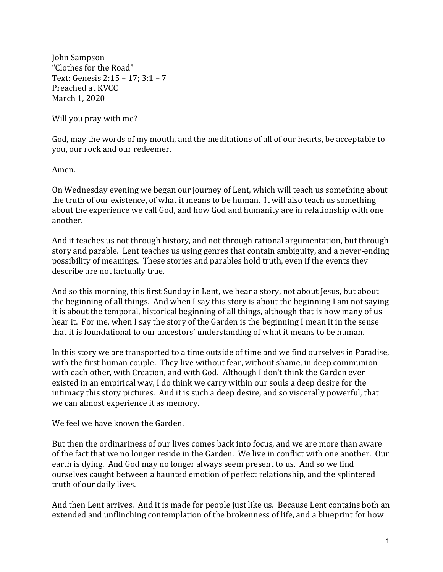John Sampson "Clothes for the Road" Text: Genesis  $2:15 - 17:3:1 - 7$ Preached at KVCC March 1, 2020

Will you pray with me?

God, may the words of my mouth, and the meditations of all of our hearts, be acceptable to you, our rock and our redeemer.

Amen.

On Wednesday evening we began our journey of Lent, which will teach us something about the truth of our existence, of what it means to be human. It will also teach us something about the experience we call God, and how God and humanity are in relationship with one another.

And it teaches us not through history, and not through rational argumentation, but through story and parable. Lent teaches us using genres that contain ambiguity, and a never-ending possibility of meanings. These stories and parables hold truth, even if the events they describe are not factually true.

And so this morning, this first Sunday in Lent, we hear a story, not about Jesus, but about the beginning of all things. And when I say this story is about the beginning I am not saying it is about the temporal, historical beginning of all things, although that is how many of us hear it. For me, when I say the story of the Garden is the beginning I mean it in the sense that it is foundational to our ancestors' understanding of what it means to be human.

In this story we are transported to a time outside of time and we find ourselves in Paradise, with the first human couple. They live without fear, without shame, in deep communion with each other, with Creation, and with God. Although I don't think the Garden ever existed in an empirical way, I do think we carry within our souls a deep desire for the intimacy this story pictures. And it is such a deep desire, and so viscerally powerful, that we can almost experience it as memory.

We feel we have known the Garden.

But then the ordinariness of our lives comes back into focus, and we are more than aware of the fact that we no longer reside in the Garden. We live in conflict with one another. Our earth is dying. And God may no longer always seem present to us. And so we find ourselves caught between a haunted emotion of perfect relationship, and the splintered truth of our daily lives.

And then Lent arrives. And it is made for people just like us. Because Lent contains both an extended and unflinching contemplation of the brokenness of life, and a blueprint for how